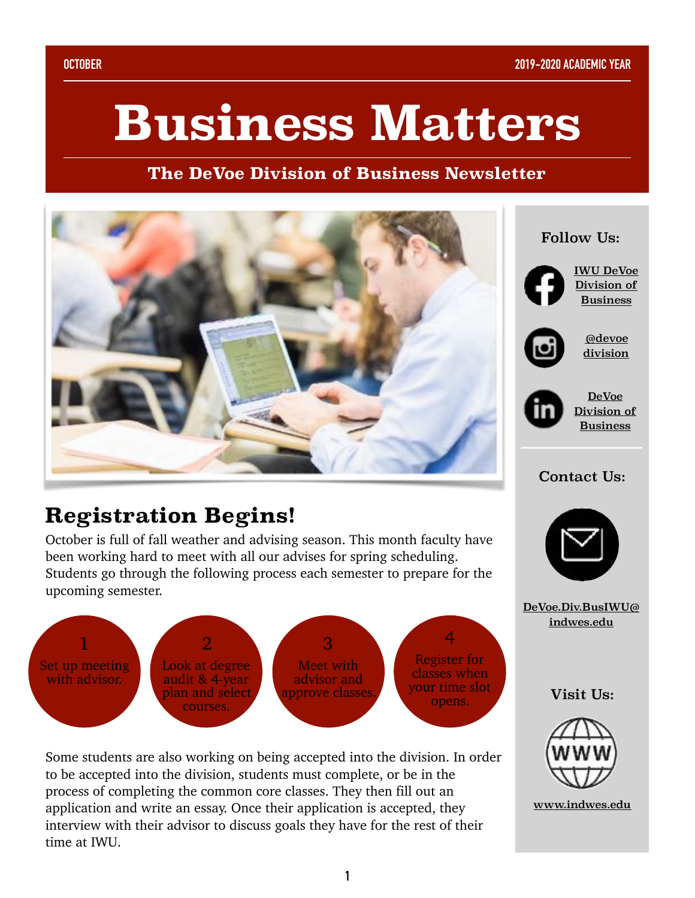# **Business Matters**

**The DeVoe Division of Business Newsletter**



## **Registration Begins!**

October is full of fall weather and advising season. This month faculty have been working hard to meet with all our advises for spring scheduling. Students go through the following process each semester to prepare for the upcoming semester.



Some students are also working on being accepted into the division. In order to be accepted into the division, students must complete, or be in the process of completing the common core classes. They then fill out an application and write an essay. Once their application is accepted, they interview with their advisor to discuss goals they have for the rest of their time at IWU.

#### Follow Us:



[IWU DeVoe](https://www.facebook.com/IWUBusinessDivision/?ref=bookmarks)  [Division of](https://www.facebook.com/IWUBusinessDivision/?ref=bookmarks)  [Business](https://www.facebook.com/IWUBusinessDivision/?ref=bookmarks)



[@devoe](https://www.instagram.com/devoedivision/?hl=en) [division](https://www.instagram.com/devoedivision/?hl=en)



[DeVoe](https://www.linkedin.com/company/iwu-devoe-division-of-business/?viewAsMember=true)  [Division of](https://www.linkedin.com/company/iwu-devoe-division-of-business/?viewAsMember=true)  [Business](https://www.linkedin.com/company/iwu-devoe-division-of-business/?viewAsMember=true)

#### Contact Us:



[DeVoe.Div.BusIWU@](mailto:DeVoe.Div.BusIWU@indwes.edu) [indwes.edu](mailto:DeVoe.Div.BusIWU@indwes.edu)

#### Visit Us:



[www.indwes.edu](https://www.indwes.edu/undergraduate/division-of-business/)